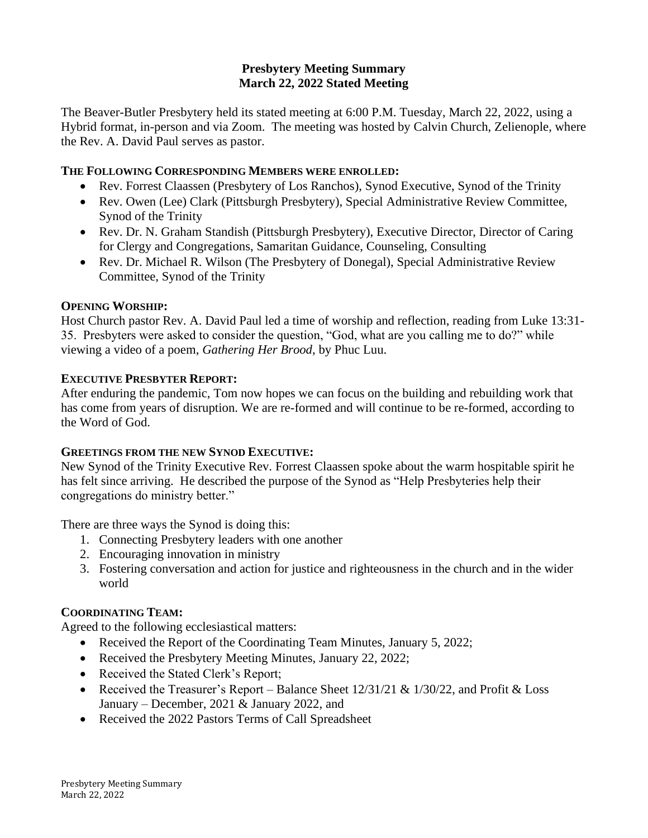## **Presbytery Meeting Summary March 22, 2022 Stated Meeting**

The Beaver-Butler Presbytery held its stated meeting at 6:00 P.M. Tuesday, March 22, 2022, using a Hybrid format, in-person and via Zoom. The meeting was hosted by Calvin Church, Zelienople, where the Rev. A. David Paul serves as pastor.

## **THE FOLLOWING CORRESPONDING MEMBERS WERE ENROLLED:**

- Rev. Forrest Claassen (Presbytery of Los Ranchos), Synod Executive, Synod of the Trinity
- Rev. Owen (Lee) Clark (Pittsburgh Presbytery), Special Administrative Review Committee, Synod of the Trinity
- Rev. Dr. N. Graham Standish (Pittsburgh Presbytery), Executive Director, Director of Caring for Clergy and Congregations, Samaritan Guidance, Counseling, Consulting
- Rev. Dr. Michael R. Wilson (The Presbytery of Donegal), Special Administrative Review Committee, Synod of the Trinity

# **OPENING WORSHIP:**

Host Church pastor Rev. A. David Paul led a time of worship and reflection, reading from Luke 13:31- 35. Presbyters were asked to consider the question, "God, what are you calling me to do?" while viewing a video of a poem, *Gathering Her Brood*, by Phuc Luu.

# **EXECUTIVE PRESBYTER REPORT:**

After enduring the pandemic, Tom now hopes we can focus on the building and rebuilding work that has come from years of disruption. We are re-formed and will continue to be re-formed, according to the Word of God.

## **GREETINGS FROM THE NEW SYNOD EXECUTIVE:**

New Synod of the Trinity Executive Rev. Forrest Claassen spoke about the warm hospitable spirit he has felt since arriving. He described the purpose of the Synod as "Help Presbyteries help their congregations do ministry better."

There are three ways the Synod is doing this:

- 1. Connecting Presbytery leaders with one another
- 2. Encouraging innovation in ministry
- 3. Fostering conversation and action for justice and righteousness in the church and in the wider world

## **COORDINATING TEAM:**

Agreed to the following ecclesiastical matters:

- Received the Report of the Coordinating Team Minutes, January 5, 2022;
- Received the Presbytery Meeting Minutes, January 22, 2022;
- Received the Stated Clerk's Report;
- Received the Treasurer's Report Balance Sheet  $12/31/21 \& 1/30/22$ , and Profit  $\&$  Loss January – December, 2021 & January 2022, and
- Received the 2022 Pastors Terms of Call Spreadsheet